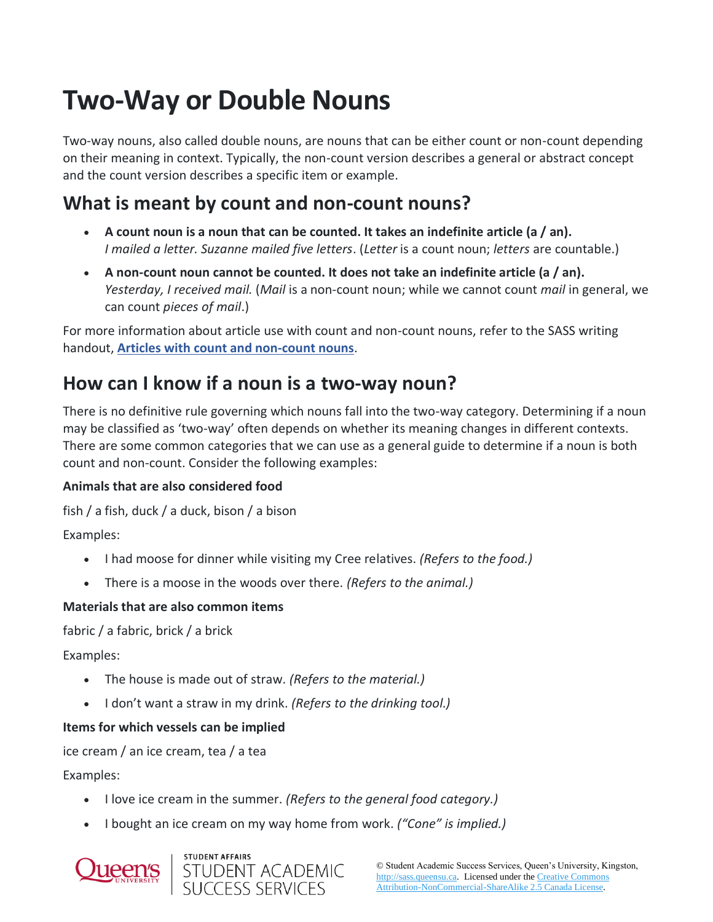# **Two-Way or Double Nouns**

Two-way nouns, also called double nouns, are nouns that can be either count or non-count depending on their meaning in context. Typically, the non-count version describes a general or abstract concept and the count version describes a specific item or example.

# **What is meant by count and non-count nouns?**

- **A count noun is a noun that can be counted. It takes an indefinite article (a / an).** *I mailed a letter. Suzanne mailed five letters*. (*Letter* is a count noun; *letters* are countable.)
- **A non-count noun cannot be counted. It does not take an indefinite article (a / an).** *Yesterday, I received mail.* (*Mail* is a non-count noun; while we cannot count *mail* in general, we can count *pieces of mail*.)

For more information about article use with count and non-count nouns, refer to the SASS writing handout, **[Articles with count and non-count nouns](https://wp3-dev.its.queensu.ca/ha/sasswww/resources/articles-count-non-count-nouns)**.

# **How can I know if a noun is a two-way noun?**

There is no definitive rule governing which nouns fall into the two-way category. Determining if a noun may be classified as 'two-way' often depends on whether its meaning changes in different contexts. There are some common categories that we can use as a general guide to determine if a noun is both count and non-count. Consider the following examples:

### **Animals that are also considered food**

fish / a fish, duck / a duck, bison / a bison

Examples:

- I had moose for dinner while visiting my Cree relatives. *(Refers to the food.)*
- There is a moose in the woods over there. *(Refers to the animal.)*

### **Materials that are also common items**

fabric / a fabric, brick / a brick

Examples:

- The house is made out of straw. *(Refers to the material.)*
- I don't want a straw in my drink. *(Refers to the drinking tool.)*

# **Items for which vessels can be implied**

ice cream / an ice cream, tea / a tea

Examples:

- I love ice cream in the summer. *(Refers to the general food category.)*
- I bought an ice cream on my way home from work. *("Cone" is implied.)*



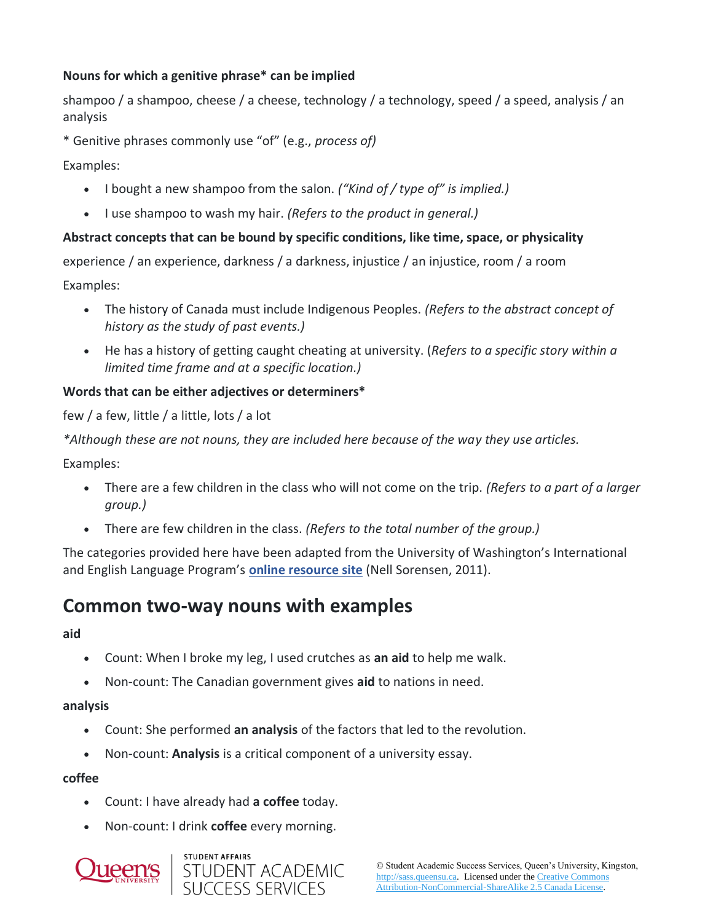### **Nouns for which a genitive phrase\* can be implied**

shampoo / a shampoo, cheese / a cheese, technology / a technology, speed / a speed, analysis / an analysis

\* Genitive phrases commonly use "of" (e.g., *process of)*

Examples:

- I bought a new shampoo from the salon. *("Kind of / type of" is implied.)*
- I use shampoo to wash my hair. *(Refers to the product in general.)*

#### **Abstract concepts that can be bound by specific conditions, like time, space, or physicality**

experience / an experience, darkness / a darkness, injustice / an injustice, room / a room

Examples:

- The history of Canada must include Indigenous Peoples. *(Refers to the abstract concept of history as the study of past events.)*
- He has a history of getting caught cheating at university. (*Refers to a specific story within a limited time frame and at a specific location.)*

#### **Words that can be either adjectives or determiners\***

few / a few, little / a little, lots / a lot

*\*Although these are not nouns, they are included here because of the way they use articles.*

Examples:

- There are a few children in the class who will not come on the trip. *(Refers to a part of a larger group.)*
- There are few children in the class. *(Refers to the total number of the group.)*

The categories provided here have been adapted from the University of Washington's International and English Language Program's **[online resource site](https://staff.washington.edu/marynell/grammar/noncount.html)** (Nell Sorensen, 2011).

# **Common two-way nouns with examples**

#### **aid**

- Count: When I broke my leg, I used crutches as **an aid** to help me walk.
- Non-count: The Canadian government gives **aid** to nations in need.

#### **analysis**

- Count: She performed **an analysis** of the factors that led to the revolution.
- Non-count: **Analysis** is a critical component of a university essay.

#### **coffee**

- Count: I have already had **a coffee** today.
- Non-count: I drink **coffee** every morning.